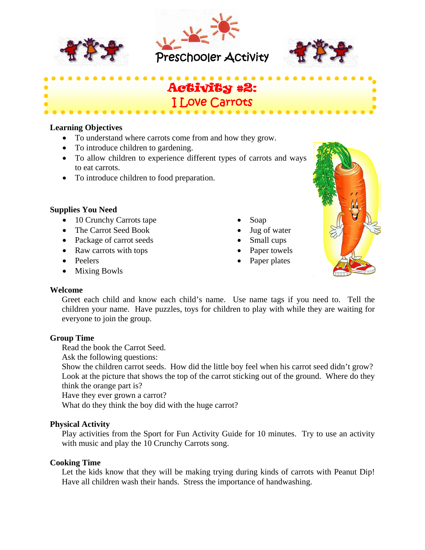



l,



# Activity #2: I Love Carrots

### **Learning Objectives**

- To understand where carrots come from and how they grow.
- To introduce children to gardening.
- To allow children to experience different types of carrots and ways to eat carrots.
- To introduce children to food preparation.

## **Supplies You Need**

- 10 Crunchy Carrots tape
- The Carrot Seed Book
- Package of carrot seeds
- Raw carrots with tops
- Peelers
- Mixing Bowls
- Soap
- Jug of water
- Small cups
- Paper towels
- Paper plates



#### **Welcome**

Greet each child and know each child's name. Use name tags if you need to. Tell the children your name. Have puzzles, toys for children to play with while they are waiting for everyone to join the group.

## **Group Time**

Read the book the Carrot Seed.

Ask the following questions:

Show the children carrot seeds. How did the little boy feel when his carrot seed didn't grow? Look at the picture that shows the top of the carrot sticking out of the ground. Where do they think the orange part is?

Have they ever grown a carrot?

What do they think the boy did with the huge carrot?

## **Physical Activity**

Play activities from the Sport for Fun Activity Guide for 10 minutes. Try to use an activity with music and play the 10 Crunchy Carrots song.

## **Cooking Time**

Let the kids know that they will be making trying during kinds of carrots with Peanut Dip! Have all children wash their hands. Stress the importance of handwashing.